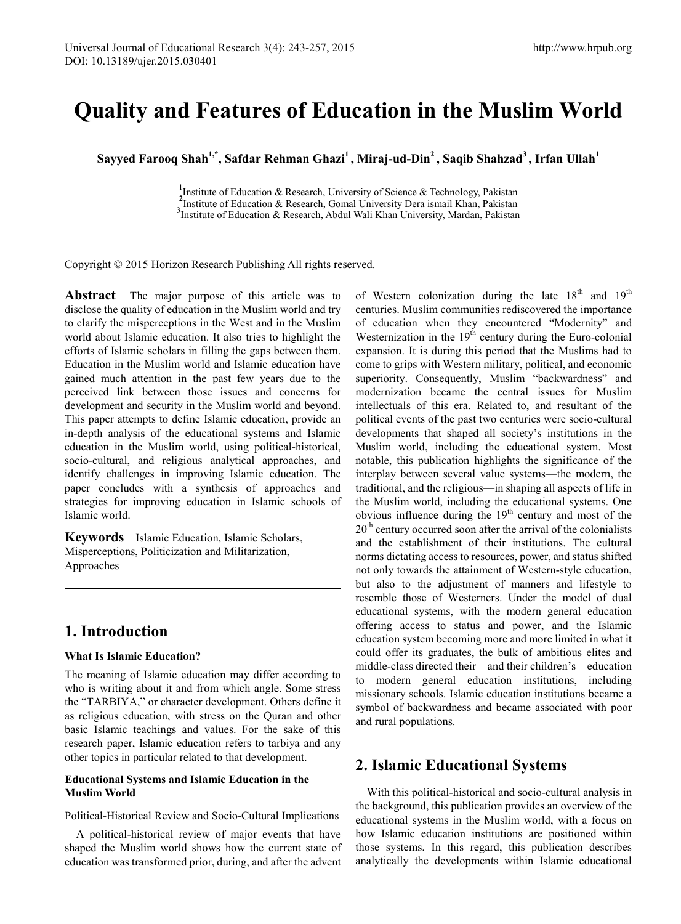# **Quality and Features of Education in the Muslim World**

**Sayyed Farooq Shah1,\*, Safdar Rehman Ghazi<sup>1</sup> , Miraj-ud-Din2 , Saqib Shahzad3 , Irfan Ullah1**

<sup>1</sup>Institute of Education & Research, University of Science & Technology, Pakistan <sup>2</sup><br>1 Institute of Education & Research, Gomal University Dera ismail Khan, Pakistan <sup>3</sup>Institute of Education & Research, Abdul Wali Khan

Copyright © 2015 Horizon Research Publishing All rights reserved.

Abstract The major purpose of this article was to disclose the quality of education in the Muslim world and try to clarify the misperceptions in the West and in the Muslim world about Islamic education. It also tries to highlight the efforts of Islamic scholars in filling the gaps between them. Education in the Muslim world and Islamic education have gained much attention in the past few years due to the perceived link between those issues and concerns for development and security in the Muslim world and beyond. This paper attempts to define Islamic education, provide an in-depth analysis of the educational systems and Islamic education in the Muslim world, using political-historical, socio-cultural, and religious analytical approaches, and identify challenges in improving Islamic education. The paper concludes with a synthesis of approaches and strategies for improving education in Islamic schools of Islamic world.

**Keywords** Islamic Education, Islamic Scholars, Misperceptions, Politicization and Militarization, Approaches

### **1. Introduction**

#### **What Is Islamic Education?**

The meaning of Islamic education may differ according to who is writing about it and from which angle. Some stress the "TARBIYA," or character development. Others define it as religious education, with stress on the Quran and other basic Islamic teachings and values. For the sake of this research paper, Islamic education refers to tarbiya and any other topics in particular related to that development.

#### **Educational Systems and Islamic Education in the Muslim World**

Political-Historical Review and Socio-Cultural Implications

A political-historical review of major events that have shaped the Muslim world shows how the current state of education was transformed prior, during, and after the advent

of Western colonization during the late  $18<sup>th</sup>$  and  $19<sup>th</sup>$ centuries. Muslim communities rediscovered the importance of education when they encountered "Modernity" and Westernization in the  $19<sup>th</sup>$  century during the Euro-colonial expansion. It is during this period that the Muslims had to come to grips with Western military, political, and economic superiority. Consequently, Muslim "backwardness" and modernization became the central issues for Muslim intellectuals of this era. Related to, and resultant of the political events of the past two centuries were socio-cultural developments that shaped all society's institutions in the Muslim world, including the educational system. Most notable, this publication highlights the significance of the interplay between several value systems—the modern, the traditional, and the religious—in shaping all aspects of life in the Muslim world, including the educational systems. One obvious influence during the  $19<sup>th</sup>$  century and most of the  $20<sup>th</sup>$  century occurred soon after the arrival of the colonialists and the establishment of their institutions. The cultural norms dictating access to resources, power, and status shifted not only towards the attainment of Western-style education, but also to the adjustment of manners and lifestyle to resemble those of Westerners. Under the model of dual educational systems, with the modern general education offering access to status and power, and the Islamic education system becoming more and more limited in what it could offer its graduates, the bulk of ambitious elites and middle-class directed their—and their children's—education to modern general education institutions, including missionary schools. Islamic education institutions became a symbol of backwardness and became associated with poor and rural populations.

### **2. Islamic Educational Systems**

With this political-historical and socio-cultural analysis in the background, this publication provides an overview of the educational systems in the Muslim world, with a focus on how Islamic education institutions are positioned within those systems. In this regard, this publication describes analytically the developments within Islamic educational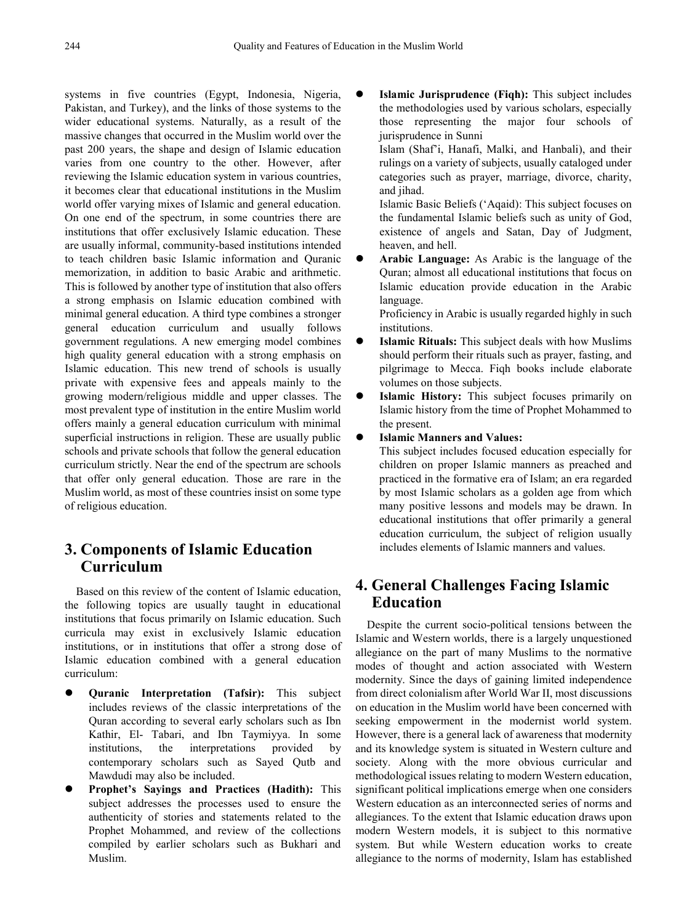systems in five countries (Egypt, Indonesia, Nigeria, Pakistan, and Turkey), and the links of those systems to the wider educational systems. Naturally, as a result of the massive changes that occurred in the Muslim world over the past 200 years, the shape and design of Islamic education varies from one country to the other. However, after reviewing the Islamic education system in various countries, it becomes clear that educational institutions in the Muslim world offer varying mixes of Islamic and general education. On one end of the spectrum, in some countries there are institutions that offer exclusively Islamic education. These are usually informal, community-based institutions intended to teach children basic Islamic information and Quranic memorization, in addition to basic Arabic and arithmetic. This is followed by another type of institution that also offers a strong emphasis on Islamic education combined with minimal general education. A third type combines a stronger general education curriculum and usually follows government regulations. A new emerging model combines high quality general education with a strong emphasis on Islamic education. This new trend of schools is usually private with expensive fees and appeals mainly to the growing modern/religious middle and upper classes. The most prevalent type of institution in the entire Muslim world offers mainly a general education curriculum with minimal superficial instructions in religion. These are usually public schools and private schools that follow the general education curriculum strictly. Near the end of the spectrum are schools that offer only general education. Those are rare in the Muslim world, as most of these countries insist on some type of religious education.

# **3. Components of Islamic Education Curriculum**

Based on this review of the content of Islamic education, the following topics are usually taught in educational institutions that focus primarily on Islamic education. Such curricula may exist in exclusively Islamic education institutions, or in institutions that offer a strong dose of Islamic education combined with a general education curriculum:

- **Quranic Interpretation (Tafsir):** This subject includes reviews of the classic interpretations of the Quran according to several early scholars such as Ibn Kathir, El- Tabari, and Ibn Taymiyya. In some institutions, the interpretations provided by contemporary scholars such as Sayed Qutb and Mawdudi may also be included.
- **Prophet's Sayings and Practices (Hadith):** This subject addresses the processes used to ensure the authenticity of stories and statements related to the Prophet Mohammed, and review of the collections compiled by earlier scholars such as Bukhari and Muslim.

 **Islamic Jurisprudence (Fiqh):** This subject includes the methodologies used by various scholars, especially those representing the major four schools of jurisprudence in Sunni

Islam (Shaf'i, Hanafi, Malki, and Hanbali), and their rulings on a variety of subjects, usually cataloged under categories such as prayer, marriage, divorce, charity, and jihad.

Islamic Basic Beliefs ('Aqaid): This subject focuses on the fundamental Islamic beliefs such as unity of God, existence of angels and Satan, Day of Judgment, heaven, and hell.

 **Arabic Language:** As Arabic is the language of the Quran; almost all educational institutions that focus on Islamic education provide education in the Arabic language.

Proficiency in Arabic is usually regarded highly in such institutions.

- **Islamic Rituals:** This subject deals with how Muslims should perform their rituals such as prayer, fasting, and pilgrimage to Mecca. Fiqh books include elaborate volumes on those subjects.
- **Islamic History:** This subject focuses primarily on Islamic history from the time of Prophet Mohammed to the present.
- **Islamic Manners and Values:**

This subject includes focused education especially for children on proper Islamic manners as preached and practiced in the formative era of Islam; an era regarded by most Islamic scholars as a golden age from which many positive lessons and models may be drawn. In educational institutions that offer primarily a general education curriculum, the subject of religion usually includes elements of Islamic manners and values.

# **4. General Challenges Facing Islamic Education**

Despite the current socio-political tensions between the Islamic and Western worlds, there is a largely unquestioned allegiance on the part of many Muslims to the normative modes of thought and action associated with Western modernity. Since the days of gaining limited independence from direct colonialism after World War II, most discussions on education in the Muslim world have been concerned with seeking empowerment in the modernist world system. However, there is a general lack of awareness that modernity and its knowledge system is situated in Western culture and society. Along with the more obvious curricular and methodological issues relating to modern Western education, significant political implications emerge when one considers Western education as an interconnected series of norms and allegiances. To the extent that Islamic education draws upon modern Western models, it is subject to this normative system. But while Western education works to create allegiance to the norms of modernity, Islam has established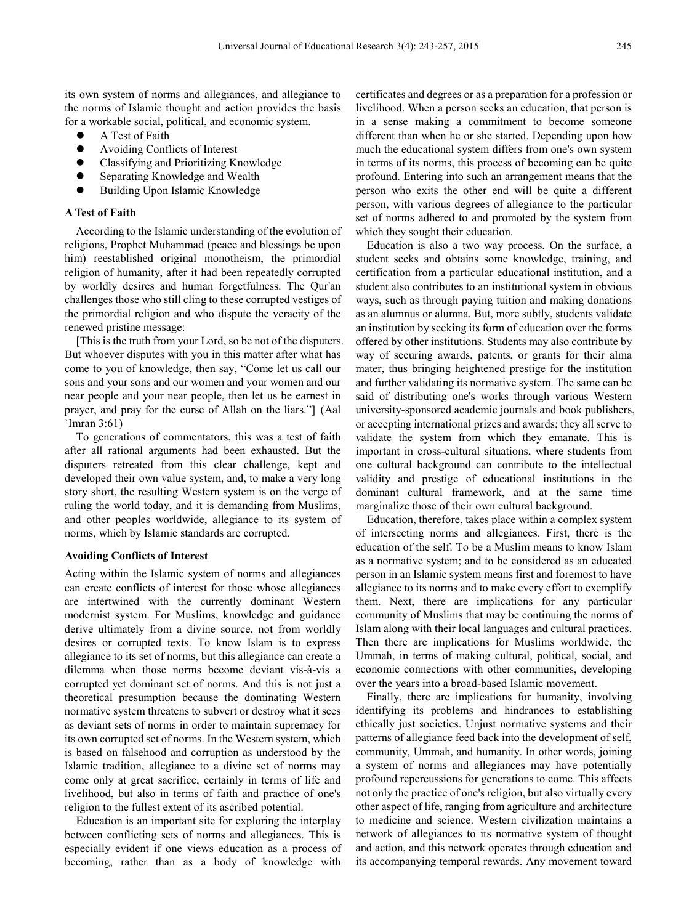its own system of norms and allegiances, and allegiance to the norms of Islamic thought and action provides the basis for a workable social, political, and economic system.

- A Test of Faith
- Avoiding Conflicts of Interest
- Classifying and Prioritizing Knowledge
- Separating Knowledge and Wealth
- Building Upon Islamic Knowledge

#### **A Test of Faith**

According to the Islamic understanding of the evolution of religions, Prophet Muhammad (peace and blessings be upon him) reestablished original monotheism, the primordial religion of humanity, after it had been repeatedly corrupted by worldly desires and human forgetfulness. The Qur'an challenges those who still cling to these corrupted vestiges of the primordial religion and who dispute the veracity of the renewed pristine message:

[This is the truth from your Lord, so be not of the disputers. But whoever disputes with you in this matter after what has come to you of knowledge, then say, "Come let us call our sons and your sons and our women and your women and our near people and your near people, then let us be earnest in prayer, and pray for the curse of Allah on the liars."] (Aal `Imran 3:61)

To generations of commentators, this was a test of faith after all rational arguments had been exhausted. But the disputers retreated from this clear challenge, kept and developed their own value system, and, to make a very long story short, the resulting Western system is on the verge of ruling the world today, and it is demanding from Muslims, and other peoples worldwide, allegiance to its system of norms, which by Islamic standards are corrupted.

#### **Avoiding Conflicts of Interest**

Acting within the Islamic system of norms and allegiances can create conflicts of interest for those whose allegiances are intertwined with the currently dominant Western modernist system. For Muslims, knowledge and guidance derive ultimately from a divine source, not from worldly desires or corrupted texts. To know Islam is to express allegiance to its set of norms, but this allegiance can create a dilemma when those norms become deviant vis-à-vis a corrupted yet dominant set of norms. And this is not just a theoretical presumption because the dominating Western normative system threatens to subvert or destroy what it sees as deviant sets of norms in order to maintain supremacy for its own corrupted set of norms. In the Western system, which is based on falsehood and corruption as understood by the Islamic tradition, allegiance to a divine set of norms may come only at great sacrifice, certainly in terms of life and livelihood, but also in terms of faith and practice of one's religion to the fullest extent of its ascribed potential.

Education is an important site for exploring the interplay between conflicting sets of norms and allegiances. This is especially evident if one views education as a process of becoming, rather than as a body of knowledge with

certificates and degrees or as a preparation for a profession or livelihood. When a person seeks an education, that person is in a sense making a commitment to become someone different than when he or she started. Depending upon how much the educational system differs from one's own system in terms of its norms, this process of becoming can be quite profound. Entering into such an arrangement means that the person who exits the other end will be quite a different person, with various degrees of allegiance to the particular set of norms adhered to and promoted by the system from which they sought their education.

Education is also a two way process. On the surface, a student seeks and obtains some knowledge, training, and certification from a particular educational institution, and a student also contributes to an institutional system in obvious ways, such as through paying tuition and making donations as an alumnus or alumna. But, more subtly, students validate an institution by seeking its form of education over the forms offered by other institutions. Students may also contribute by way of securing awards, patents, or grants for their alma mater, thus bringing heightened prestige for the institution and further validating its normative system. The same can be said of distributing one's works through various Western university-sponsored academic journals and book publishers, or accepting international prizes and awards; they all serve to validate the system from which they emanate. This is important in cross-cultural situations, where students from one cultural background can contribute to the intellectual validity and prestige of educational institutions in the dominant cultural framework, and at the same time marginalize those of their own cultural background.

Education, therefore, takes place within a complex system of intersecting norms and allegiances. First, there is the education of the self. To be a Muslim means to know Islam as a normative system; and to be considered as an educated person in an Islamic system means first and foremost to have allegiance to its norms and to make every effort to exemplify them. Next, there are implications for any particular community of Muslims that may be continuing the norms of Islam along with their local languages and cultural practices. Then there are implications for Muslims worldwide, the Ummah, in terms of making cultural, political, social, and economic connections with other communities, developing over the years into a broad-based Islamic movement.

Finally, there are implications for humanity, involving identifying its problems and hindrances to establishing ethically just societies. Unjust normative systems and their patterns of allegiance feed back into the development of self, community, Ummah, and humanity. In other words, joining a system of norms and allegiances may have potentially profound repercussions for generations to come. This affects not only the practice of one's religion, but also virtually every other aspect of life, ranging from agriculture and architecture to medicine and science. Western civilization maintains a network of allegiances to its normative system of thought and action, and this network operates through education and its accompanying temporal rewards. Any movement toward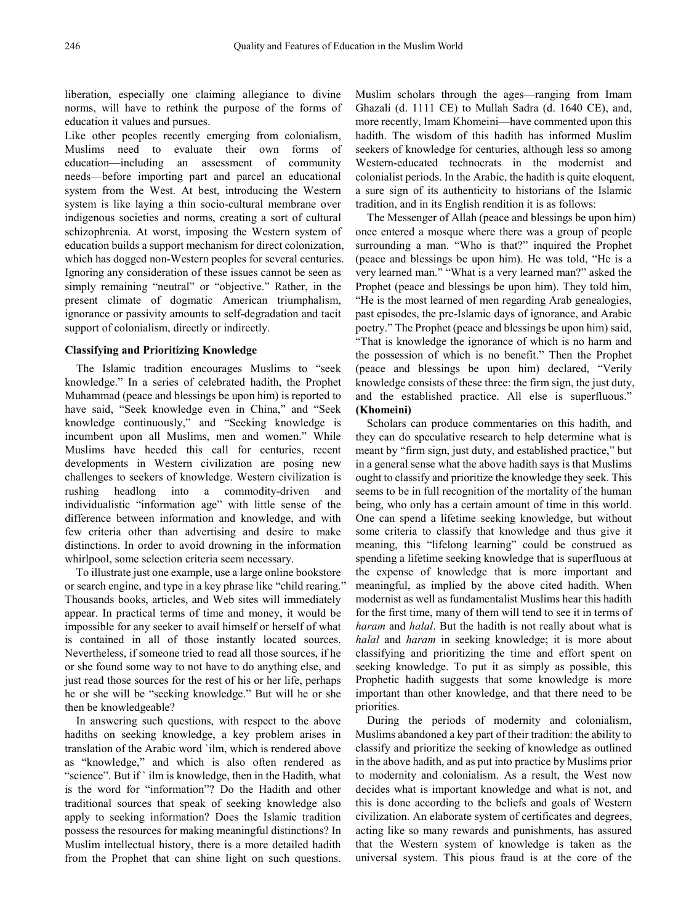liberation, especially one claiming allegiance to divine norms, will have to rethink the purpose of the forms of education it values and pursues.

Like other peoples recently emerging from colonialism, Muslims need to evaluate their own forms of education—including an assessment of community needs—before importing part and parcel an educational system from the West. At best, introducing the Western system is like laying a thin socio-cultural membrane over indigenous societies and norms, creating a sort of cultural schizophrenia. At worst, imposing the Western system of education builds a support mechanism for direct colonization, which has dogged non-Western peoples for several centuries. Ignoring any consideration of these issues cannot be seen as simply remaining "neutral" or "objective." Rather, in the present climate of dogmatic American triumphalism, ignorance or passivity amounts to self-degradation and tacit support of colonialism, directly or indirectly.

#### **Classifying and Prioritizing Knowledge**

The Islamic tradition encourages Muslims to "seek knowledge." In a series of celebrated hadith, the Prophet Muhammad (peace and blessings be upon him) is reported to have said, "Seek knowledge even in China," and "Seek knowledge continuously," and "Seeking knowledge is incumbent upon all Muslims, men and women." While Muslims have heeded this call for centuries, recent developments in Western civilization are posing new challenges to seekers of knowledge. Western civilization is rushing headlong into a commodity-driven and individualistic "information age" with little sense of the difference between information and knowledge, and with few criteria other than advertising and desire to make distinctions. In order to avoid drowning in the information whirlpool, some selection criteria seem necessary.

To illustrate just one example, use a large online bookstore or search engine, and type in a key phrase like "child rearing." Thousands books, articles, and Web sites will immediately appear. In practical terms of time and money, it would be impossible for any seeker to avail himself or herself of what is contained in all of those instantly located sources. Nevertheless, if someone tried to read all those sources, if he or she found some way to not have to do anything else, and just read those sources for the rest of his or her life, perhaps he or she will be "seeking knowledge." But will he or she then be knowledgeable?

In answering such questions, with respect to the above hadiths on seeking knowledge, a key problem arises in translation of the Arabic word `ilm, which is rendered above as "knowledge," and which is also often rendered as "science". But if ` ilm is knowledge, then in the Hadith, what is the word for "information"? Do the Hadith and other traditional sources that speak of seeking knowledge also apply to seeking information? Does the Islamic tradition possess the resources for making meaningful distinctions? In Muslim intellectual history, there is a more detailed hadith from the Prophet that can shine light on such questions.

Muslim scholars through the ages—ranging from Imam Ghazali (d. 1111 CE) to Mullah Sadra (d. 1640 CE), and, more recently, Imam Khomeini—have commented upon this hadith. The wisdom of this hadith has informed Muslim seekers of knowledge for centuries, although less so among Western-educated technocrats in the modernist and colonialist periods. In the Arabic, the hadith is quite eloquent, a sure sign of its authenticity to historians of the Islamic tradition, and in its English rendition it is as follows:

The Messenger of Allah (peace and blessings be upon him) once entered a mosque where there was a group of people surrounding a man. "Who is that?" inquired the Prophet (peace and blessings be upon him). He was told, "He is a very learned man." "What is a very learned man?" asked the Prophet (peace and blessings be upon him). They told him, "He is the most learned of men regarding Arab genealogies, past episodes, the pre-Islamic days of ignorance, and Arabic poetry." The Prophet (peace and blessings be upon him) said, "That is knowledge the ignorance of which is no harm and the possession of which is no benefit." Then the Prophet (peace and blessings be upon him) declared, "Verily knowledge consists of these three: the firm sign, the just duty, and the established practice. All else is superfluous." **(Khomeini)**

Scholars can produce commentaries on this hadith, and they can do speculative research to help determine what is meant by "firm sign, just duty, and established practice," but in a general sense what the above hadith says is that Muslims ought to classify and prioritize the knowledge they seek. This seems to be in full recognition of the mortality of the human being, who only has a certain amount of time in this world. One can spend a lifetime seeking knowledge, but without some criteria to classify that knowledge and thus give it meaning, this "lifelong learning" could be construed as spending a lifetime seeking knowledge that is superfluous at the expense of knowledge that is more important and meaningful, as implied by the above cited hadith. When modernist as well as fundamentalist Muslims hear this hadith for the first time, many of them will tend to see it in terms of *haram* and *halal*. But the hadith is not really about what is *halal* and *haram* in seeking knowledge; it is more about classifying and prioritizing the time and effort spent on seeking knowledge. To put it as simply as possible, this Prophetic hadith suggests that some knowledge is more important than other knowledge, and that there need to be priorities.

During the periods of modernity and colonialism, Muslims abandoned a key part of their tradition: the ability to classify and prioritize the seeking of knowledge as outlined in the above hadith, and as put into practice by Muslims prior to modernity and colonialism. As a result, the West now decides what is important knowledge and what is not, and this is done according to the beliefs and goals of Western civilization. An elaborate system of certificates and degrees, acting like so many rewards and punishments, has assured that the Western system of knowledge is taken as the universal system. This pious fraud is at the core of the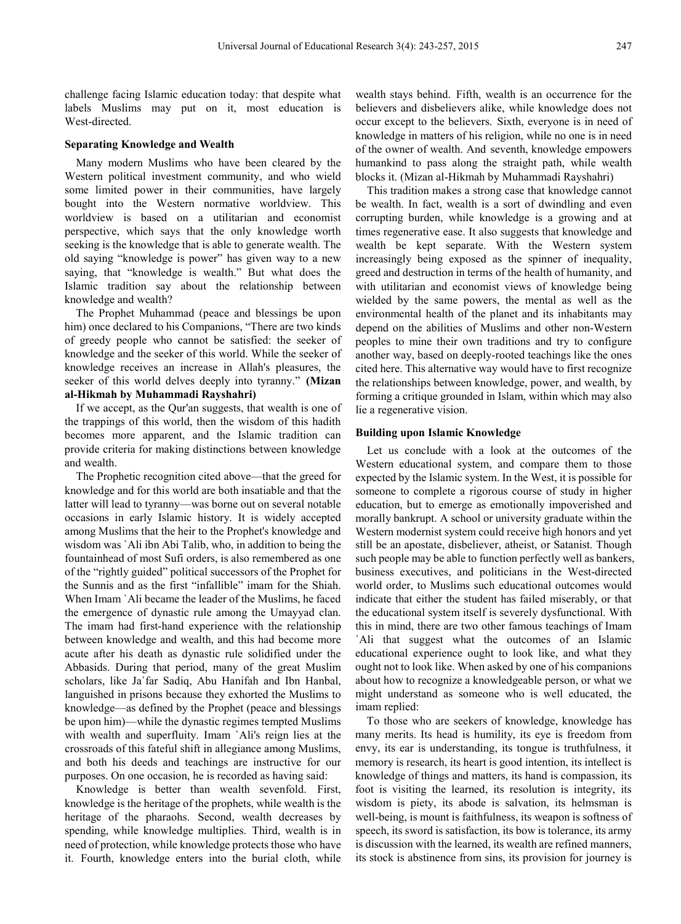challenge facing Islamic education today: that despite what labels Muslims may put on it, most education is West-directed.

#### **Separating Knowledge and Wealth**

Many modern Muslims who have been cleared by the Western political investment community, and who wield some limited power in their communities, have largely bought into the Western normative worldview. This worldview is based on a utilitarian and economist perspective, which says that the only knowledge worth seeking is the knowledge that is able to generate wealth. The old saying "knowledge is power" has given way to a new saying, that "knowledge is wealth." But what does the Islamic tradition say about the relationship between knowledge and wealth?

The Prophet Muhammad (peace and blessings be upon him) once declared to his Companions, "There are two kinds of greedy people who cannot be satisfied: the seeker of knowledge and the seeker of this world. While the seeker of knowledge receives an increase in Allah's pleasures, the seeker of this world delves deeply into tyranny." **(Mizan al-Hikmah by Muhammadi Rayshahri)**

If we accept, as the Qur'an suggests, that wealth is one of the trappings of this world, then the wisdom of this hadith becomes more apparent, and the Islamic tradition can provide criteria for making distinctions between knowledge and wealth.

The Prophetic recognition cited above—that the greed for knowledge and for this world are both insatiable and that the latter will lead to tyranny—was borne out on several notable occasions in early Islamic history. It is widely accepted among Muslims that the heir to the Prophet's knowledge and wisdom was `Ali ibn Abi Talib, who, in addition to being the fountainhead of most Sufi orders, is also remembered as one of the "rightly guided" political successors of the Prophet for the Sunnis and as the first "infallible" imam for the Shiah. When Imam `Ali became the leader of the Muslims, he faced the emergence of dynastic rule among the Umayyad clan. The imam had first-hand experience with the relationship between knowledge and wealth, and this had become more acute after his death as dynastic rule solidified under the Abbasids. During that period, many of the great Muslim scholars, like Ja`far Sadiq, Abu Hanifah and Ibn Hanbal, languished in prisons because they exhorted the Muslims to knowledge—as defined by the Prophet (peace and blessings be upon him)—while the dynastic regimes tempted Muslims with wealth and superfluity. Imam `Ali's reign lies at the crossroads of this fateful shift in allegiance among Muslims, and both his deeds and teachings are instructive for our purposes. On one occasion, he is recorded as having said:

Knowledge is better than wealth sevenfold. First, knowledge is the heritage of the prophets, while wealth is the heritage of the pharaohs. Second, wealth decreases by spending, while knowledge multiplies. Third, wealth is in need of protection, while knowledge protects those who have it. Fourth, knowledge enters into the burial cloth, while

wealth stays behind. Fifth, wealth is an occurrence for the believers and disbelievers alike, while knowledge does not occur except to the believers. Sixth, everyone is in need of knowledge in matters of his religion, while no one is in need of the owner of wealth. And seventh, knowledge empowers humankind to pass along the straight path, while wealth blocks it. (Mizan al-Hikmah by Muhammadi Rayshahri)

This tradition makes a strong case that knowledge cannot be wealth. In fact, wealth is a sort of dwindling and even corrupting burden, while knowledge is a growing and at times regenerative ease. It also suggests that knowledge and wealth be kept separate. With the Western system increasingly being exposed as the spinner of inequality, greed and destruction in terms of the health of humanity, and with utilitarian and economist views of knowledge being wielded by the same powers, the mental as well as the environmental health of the planet and its inhabitants may depend on the abilities of Muslims and other non-Western peoples to mine their own traditions and try to configure another way, based on deeply-rooted teachings like the ones cited here. This alternative way would have to first recognize the relationships between knowledge, power, and wealth, by forming a critique grounded in Islam, within which may also lie a regenerative vision.

#### **Building upon Islamic Knowledge**

Let us conclude with a look at the outcomes of the Western educational system, and compare them to those expected by the Islamic system. In the West, it is possible for someone to complete a rigorous course of study in higher education, but to emerge as emotionally impoverished and morally bankrupt. A school or university graduate within the Western modernist system could receive high honors and yet still be an apostate, disbeliever, atheist, or Satanist. Though such people may be able to function perfectly well as bankers, business executives, and politicians in the West-directed world order, to Muslims such educational outcomes would indicate that either the student has failed miserably, or that the educational system itself is severely dysfunctional. With this in mind, there are two other famous teachings of Imam `Ali that suggest what the outcomes of an Islamic educational experience ought to look like, and what they ought not to look like. When asked by one of his companions about how to recognize a knowledgeable person, or what we might understand as someone who is well educated, the imam replied:

To those who are seekers of knowledge, knowledge has many merits. Its head is humility, its eye is freedom from envy, its ear is understanding, its tongue is truthfulness, it memory is research, its heart is good intention, its intellect is knowledge of things and matters, its hand is compassion, its foot is visiting the learned, its resolution is integrity, its wisdom is piety, its abode is salvation, its helmsman is well-being, is mount is faithfulness, its weapon is softness of speech, its sword is satisfaction, its bow is tolerance, its army is discussion with the learned, its wealth are refined manners, its stock is abstinence from sins, its provision for journey is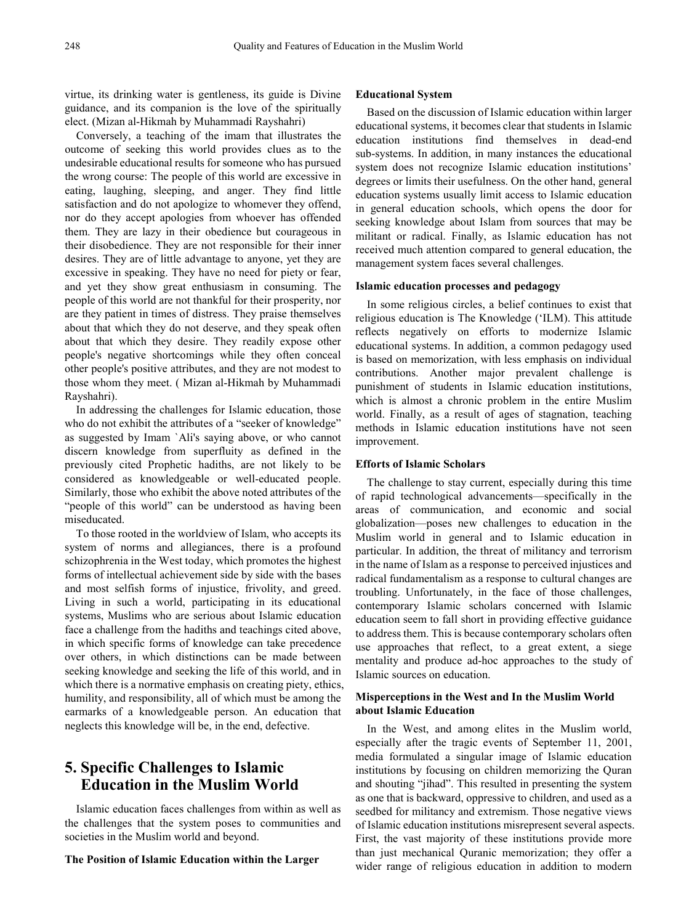virtue, its drinking water is gentleness, its guide is Divine guidance, and its companion is the love of the spiritually elect. (Mizan al-Hikmah by Muhammadi Rayshahri)

Conversely, a teaching of the imam that illustrates the outcome of seeking this world provides clues as to the undesirable educational results for someone who has pursued the wrong course: The people of this world are excessive in eating, laughing, sleeping, and anger. They find little satisfaction and do not apologize to whomever they offend, nor do they accept apologies from whoever has offended them. They are lazy in their obedience but courageous in their disobedience. They are not responsible for their inner desires. They are of little advantage to anyone, yet they are excessive in speaking. They have no need for piety or fear, and yet they show great enthusiasm in consuming. The people of this world are not thankful for their prosperity, nor are they patient in times of distress. They praise themselves about that which they do not deserve, and they speak often about that which they desire. They readily expose other people's negative shortcomings while they often conceal other people's positive attributes, and they are not modest to those whom they meet. ( Mizan al-Hikmah by Muhammadi Rayshahri).

In addressing the challenges for Islamic education, those who do not exhibit the attributes of a "seeker of knowledge" as suggested by Imam `Ali's saying above, or who cannot discern knowledge from superfluity as defined in the previously cited Prophetic hadiths, are not likely to be considered as knowledgeable or well-educated people. Similarly, those who exhibit the above noted attributes of the "people of this world" can be understood as having been miseducated.

To those rooted in the worldview of Islam, who accepts its system of norms and allegiances, there is a profound schizophrenia in the West today, which promotes the highest forms of intellectual achievement side by side with the bases and most selfish forms of injustice, frivolity, and greed. Living in such a world, participating in its educational systems, Muslims who are serious about Islamic education face a challenge from the hadiths and teachings cited above, in which specific forms of knowledge can take precedence over others, in which distinctions can be made between seeking knowledge and seeking the life of this world, and in which there is a normative emphasis on creating piety, ethics, humility, and responsibility, all of which must be among the earmarks of a knowledgeable person. An education that neglects this knowledge will be, in the end, defective.

## **5. Specific Challenges to Islamic Education in the Muslim World**

Islamic education faces challenges from within as well as the challenges that the system poses to communities and societies in the Muslim world and beyond.

#### **The Position of Islamic Education within the Larger**

#### **Educational System**

Based on the discussion of Islamic education within larger educational systems, it becomes clear that students in Islamic education institutions find themselves in dead-end sub-systems. In addition, in many instances the educational system does not recognize Islamic education institutions' degrees or limits their usefulness. On the other hand, general education systems usually limit access to Islamic education in general education schools, which opens the door for seeking knowledge about Islam from sources that may be militant or radical. Finally, as Islamic education has not received much attention compared to general education, the management system faces several challenges.

#### **Islamic education processes and pedagogy**

In some religious circles, a belief continues to exist that religious education is The Knowledge ('ILM). This attitude reflects negatively on efforts to modernize Islamic educational systems. In addition, a common pedagogy used is based on memorization, with less emphasis on individual contributions. Another major prevalent challenge is punishment of students in Islamic education institutions, which is almost a chronic problem in the entire Muslim world. Finally, as a result of ages of stagnation, teaching methods in Islamic education institutions have not seen improvement.

#### **Efforts of Islamic Scholars**

The challenge to stay current, especially during this time of rapid technological advancements—specifically in the areas of communication, and economic and social globalization—poses new challenges to education in the Muslim world in general and to Islamic education in particular. In addition, the threat of militancy and terrorism in the name of Islam as a response to perceived injustices and radical fundamentalism as a response to cultural changes are troubling. Unfortunately, in the face of those challenges, contemporary Islamic scholars concerned with Islamic education seem to fall short in providing effective guidance to address them. This is because contemporary scholars often use approaches that reflect, to a great extent, a siege mentality and produce ad-hoc approaches to the study of Islamic sources on education.

#### **Misperceptions in the West and In the Muslim World about Islamic Education**

In the West, and among elites in the Muslim world, especially after the tragic events of September 11, 2001, media formulated a singular image of Islamic education institutions by focusing on children memorizing the Quran and shouting "jihad". This resulted in presenting the system as one that is backward, oppressive to children, and used as a seedbed for militancy and extremism. Those negative views of Islamic education institutions misrepresent several aspects. First, the vast majority of these institutions provide more than just mechanical Quranic memorization; they offer a wider range of religious education in addition to modern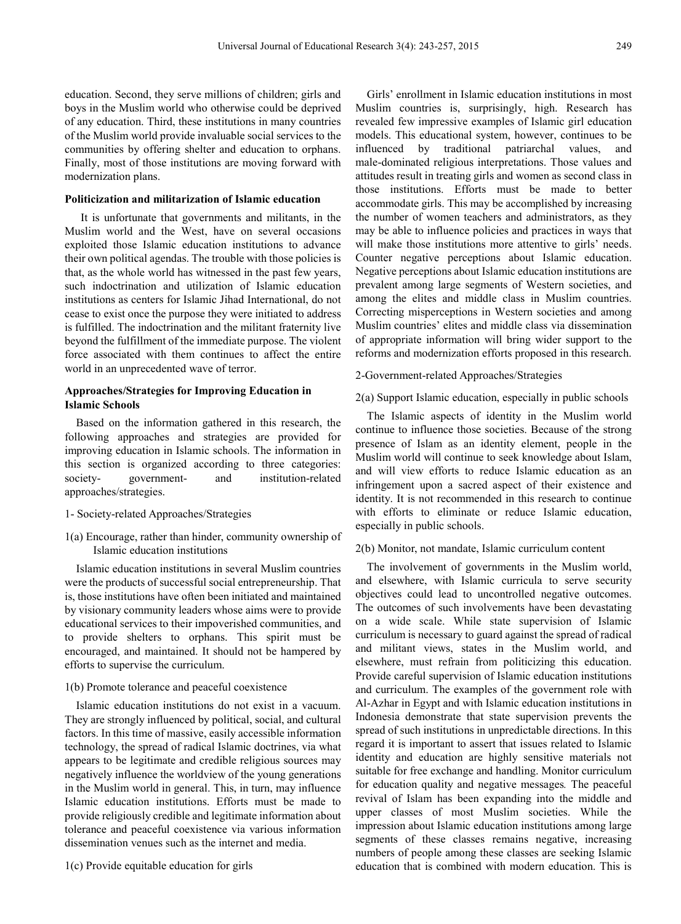education. Second, they serve millions of children; girls and boys in the Muslim world who otherwise could be deprived of any education. Third, these institutions in many countries of the Muslim world provide invaluable social services to the communities by offering shelter and education to orphans. Finally, most of those institutions are moving forward with modernization plans.

#### **Politicization and militarization of Islamic education**

It is unfortunate that governments and militants, in the Muslim world and the West, have on several occasions exploited those Islamic education institutions to advance their own political agendas. The trouble with those policies is that, as the whole world has witnessed in the past few years, such indoctrination and utilization of Islamic education institutions as centers for Islamic Jihad International, do not cease to exist once the purpose they were initiated to address is fulfilled. The indoctrination and the militant fraternity live beyond the fulfillment of the immediate purpose. The violent force associated with them continues to affect the entire world in an unprecedented wave of terror.

#### **Approaches/Strategies for Improving Education in Islamic Schools**

Based on the information gathered in this research, the following approaches and strategies are provided for improving education in Islamic schools. The information in this section is organized according to three categories: society- government- and institution-related approaches/strategies.

- 1- Society-related Approaches/Strategies
- 1(a) Encourage, rather than hinder, community ownership of Islamic education institutions

Islamic education institutions in several Muslim countries were the products of successful social entrepreneurship. That is, those institutions have often been initiated and maintained by visionary community leaders whose aims were to provide educational services to their impoverished communities, and to provide shelters to orphans. This spirit must be encouraged, and maintained. It should not be hampered by efforts to supervise the curriculum.

#### 1(b) Promote tolerance and peaceful coexistence

Islamic education institutions do not exist in a vacuum. They are strongly influenced by political, social, and cultural factors. In this time of massive, easily accessible information technology, the spread of radical Islamic doctrines, via what appears to be legitimate and credible religious sources may negatively influence the worldview of the young generations in the Muslim world in general. This, in turn, may influence Islamic education institutions. Efforts must be made to provide religiously credible and legitimate information about tolerance and peaceful coexistence via various information dissemination venues such as the internet and media.

1(c) Provide equitable education for girls

Girls' enrollment in Islamic education institutions in most Muslim countries is, surprisingly, high. Research has revealed few impressive examples of Islamic girl education models. This educational system, however, continues to be influenced by traditional patriarchal values, and male-dominated religious interpretations. Those values and attitudes result in treating girls and women as second class in those institutions. Efforts must be made to better accommodate girls. This may be accomplished by increasing the number of women teachers and administrators, as they may be able to influence policies and practices in ways that will make those institutions more attentive to girls' needs. Counter negative perceptions about Islamic education. Negative perceptions about Islamic education institutions are prevalent among large segments of Western societies, and among the elites and middle class in Muslim countries. Correcting misperceptions in Western societies and among Muslim countries' elites and middle class via dissemination of appropriate information will bring wider support to the reforms and modernization efforts proposed in this research.

#### 2-Government-related Approaches/Strategies

2(a) Support Islamic education, especially in public schools

The Islamic aspects of identity in the Muslim world continue to influence those societies. Because of the strong presence of Islam as an identity element, people in the Muslim world will continue to seek knowledge about Islam, and will view efforts to reduce Islamic education as an infringement upon a sacred aspect of their existence and identity. It is not recommended in this research to continue with efforts to eliminate or reduce Islamic education, especially in public schools.

#### 2(b) Monitor, not mandate, Islamic curriculum content

The involvement of governments in the Muslim world, and elsewhere, with Islamic curricula to serve security objectives could lead to uncontrolled negative outcomes. The outcomes of such involvements have been devastating on a wide scale. While state supervision of Islamic curriculum is necessary to guard against the spread of radical and militant views, states in the Muslim world, and elsewhere, must refrain from politicizing this education. Provide careful supervision of Islamic education institutions and curriculum. The examples of the government role with Al-Azhar in Egypt and with Islamic education institutions in Indonesia demonstrate that state supervision prevents the spread of such institutions in unpredictable directions. In this regard it is important to assert that issues related to Islamic identity and education are highly sensitive materials not suitable for free exchange and handling. Monitor curriculum for education quality and negative messages*.* The peaceful revival of Islam has been expanding into the middle and upper classes of most Muslim societies. While the impression about Islamic education institutions among large segments of these classes remains negative, increasing numbers of people among these classes are seeking Islamic education that is combined with modern education. This is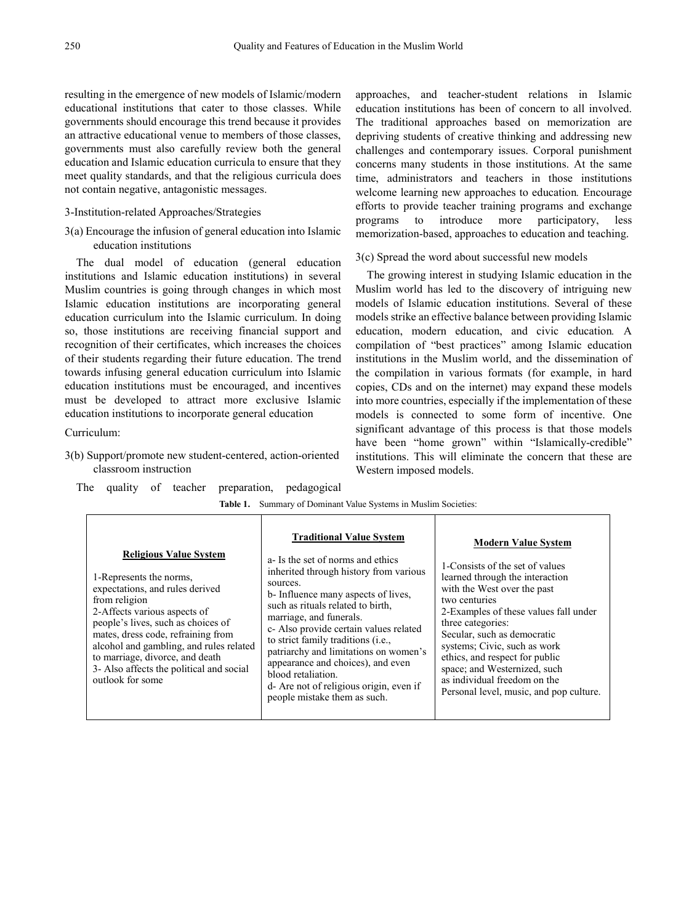resulting in the emergence of new models of Islamic/modern educational institutions that cater to those classes. While governments should encourage this trend because it provides an attractive educational venue to members of those classes, governments must also carefully review both the general education and Islamic education curricula to ensure that they meet quality standards, and that the religious curricula does not contain negative, antagonistic messages.

- 3-Institution-related Approaches/Strategies
- 3(a) Encourage the infusion of general education into Islamic education institutions

The dual model of education (general education institutions and Islamic education institutions) in several Muslim countries is going through changes in which most Islamic education institutions are incorporating general education curriculum into the Islamic curriculum. In doing so, those institutions are receiving financial support and recognition of their certificates, which increases the choices of their students regarding their future education. The trend towards infusing general education curriculum into Islamic education institutions must be encouraged, and incentives must be developed to attract more exclusive Islamic education institutions to incorporate general education

Curriculum:

3(b) Support/promote new student-centered, action-oriented classroom instruction

The quality of teacher preparation, pedagogical

**Table 1.** Summary of Dominant Value Systems in Muslim Societies:

| approaches, and teacher stadent relations in folding        |
|-------------------------------------------------------------|
| education institutions has been of concern to all involved. |
| The traditional approaches based on memorization are        |
| depriving students of creative thinking and addressing new  |
| challenges and contemporary issues. Corporal punishment     |
| concerns many students in those institutions. At the same   |
| time, administrators and teachers in those institutions     |
| welcome learning new approaches to education. Encourage     |
| efforts to provide teacher training programs and exchange   |
| programs to introduce more participatory, less              |
| memorization-based, approaches to education and teaching.   |
|                                                             |

approaches, and teacher-student relations in Islamic

3(c) Spread the word about successful new models

The growing interest in studying Islamic education in the Muslim world has led to the discovery of intriguing new models of Islamic education institutions. Several of these models strike an effective balance between providing Islamic education, modern education, and civic education*.* A compilation of "best practices" among Islamic education institutions in the Muslim world, and the dissemination of the compilation in various formats (for example, in hard copies, CDs and on the internet) may expand these models into more countries, especially if the implementation of these models is connected to some form of incentive. One significant advantage of this process is that those models have been "home grown" within "Islamically-credible" institutions. This will eliminate the concern that these are Western imposed models.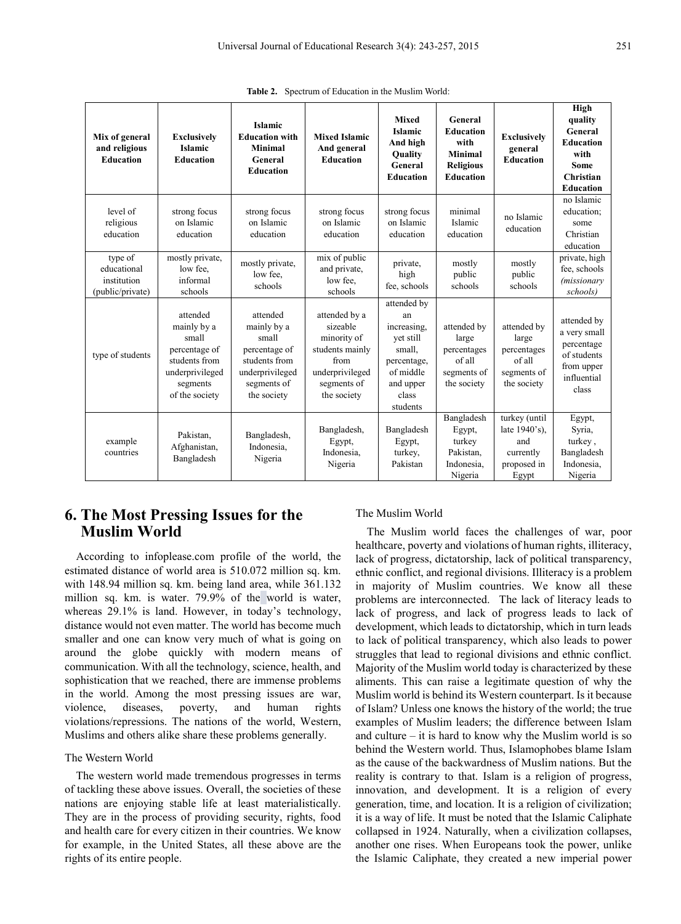| Mix of general<br>and religious<br><b>Education</b>       | <b>Exclusively</b><br><b>Islamic</b><br><b>Education</b>                                                            | <b>Islamic</b><br><b>Education with</b><br><b>Minimal</b><br>General<br><b>Education</b>                            | <b>Mixed Islamic</b><br>And general<br><b>Education</b>                                                              | <b>Mixed</b><br><b>Islamic</b><br>And high<br>Quality<br>General<br><b>Education</b>                                  | General<br><b>Education</b><br>with<br><b>Minimal</b><br><b>Religious</b><br><b>Education</b> | <b>Exclusively</b><br>general<br><b>Education</b>                           | High<br>quality<br>General<br><b>Education</b><br>with<br>Some<br>Christian<br><b>Education</b> |
|-----------------------------------------------------------|---------------------------------------------------------------------------------------------------------------------|---------------------------------------------------------------------------------------------------------------------|----------------------------------------------------------------------------------------------------------------------|-----------------------------------------------------------------------------------------------------------------------|-----------------------------------------------------------------------------------------------|-----------------------------------------------------------------------------|-------------------------------------------------------------------------------------------------|
| level of<br>religious<br>education                        | strong focus<br>on Islamic<br>education                                                                             | strong focus<br>on Islamic<br>education                                                                             | strong focus<br>on Islamic<br>education                                                                              | strong focus<br>on Islamic<br>education                                                                               | minimal<br>Islamic<br>education                                                               | no Islamic<br>education                                                     | no Islamic<br>education;<br>some<br>Christian<br>education                                      |
| type of<br>educational<br>institution<br>(public/private) | mostly private,<br>low fee,<br>informal<br>schools                                                                  | mostly private,<br>low fee.<br>schools                                                                              | mix of public<br>and private,<br>low fee.<br>schools                                                                 | private,<br>high<br>fee, schools                                                                                      | mostly<br>public<br>schools                                                                   | mostly<br>public<br>schools                                                 | private, high<br>fee, schools<br><i>(missionary</i><br>schools)                                 |
| type of students                                          | attended<br>mainly by a<br>small<br>percentage of<br>students from<br>underprivileged<br>segments<br>of the society | attended<br>mainly by a<br>small<br>percentage of<br>students from<br>underprivileged<br>segments of<br>the society | attended by a<br>sizeable<br>minority of<br>students mainly<br>from<br>underprivileged<br>segments of<br>the society | attended by<br>an<br>increasing,<br>vet still<br>small,<br>percentage,<br>of middle<br>and upper<br>class<br>students | attended by<br>large<br>percentages<br>of all<br>segments of<br>the society                   | attended by<br>large<br>percentages<br>of all<br>segments of<br>the society | attended by<br>a very small<br>percentage<br>of students<br>from upper<br>influential<br>class  |
| example<br>countries                                      | Pakistan,<br>Afghanistan,<br>Bangladesh                                                                             | Bangladesh,<br>Indonesia,<br>Nigeria                                                                                | Bangladesh,<br>Egypt,<br>Indonesia,<br>Nigeria                                                                       | Bangladesh<br>Egypt,<br>turkey,<br>Pakistan                                                                           | Bangladesh<br>Egypt,<br>turkey<br>Pakistan,<br>Indonesia,<br>Nigeria                          | turkey (until<br>late 1940's).<br>and<br>currently<br>proposed in<br>Egypt  | Egypt,<br>Syria,<br>turkey,<br>Bangladesh<br>Indonesia,<br>Nigeria                              |

**Table 2.** Spectrum of Education in the Muslim World:

# **6. The Most Pressing Issues for the Muslim World**

According to infoplease.com profile of the world, the estimated distance of world area is 510.072 million sq. km. with 148.94 million sq. km. being land area, while 361.132 million sq. km. is water. 79.9% of the world is water, whereas 29.1% is land. However, in today's technology, distance would not even matter. The world has become much smaller and one can know very much of what is going on around the globe quickly with modern means of communication. With all the technology, science, health, and sophistication that we reached, there are immense problems in the world. Among the most pressing issues are war, violence, diseases, poverty, and human rights violations/repressions. The nations of the world, Western, Muslims and others alike share these problems generally.

#### The Western World

The western world made tremendous progresses in terms of tackling these above issues. Overall, the societies of these nations are enjoying stable life at least materialistically. They are in the process of providing security, rights, food and health care for every citizen in their countries. We know for example, in the United States, all these above are the rights of its entire people.

#### The Muslim World

The Muslim world faces the challenges of war, poor healthcare, poverty and violations of human rights, illiteracy, lack of progress, dictatorship, lack of political transparency, ethnic conflict, and regional divisions. Illiteracy is a problem in majority of Muslim countries. We know all these problems are interconnected. The lack of literacy leads to lack of progress, and lack of progress leads to lack of development, which leads to dictatorship, which in turn leads to lack of political transparency, which also leads to power struggles that lead to regional divisions and ethnic conflict. Majority of the Muslim world today is characterized by these aliments. This can raise a legitimate question of why the Muslim world is behind its Western counterpart. Is it because of Islam? Unless one knows the history of the world; the true examples of Muslim leaders; the difference between Islam and culture – it is hard to know why the Muslim world is so behind the Western world. Thus, Islamophobes blame Islam as the cause of the backwardness of Muslim nations. But the reality is contrary to that. Islam is a religion of progress, innovation, and development. It is a religion of every generation, time, and location. It is a religion of civilization; it is a way of life. It must be noted that the Islamic Caliphate collapsed in 1924. Naturally, when a civilization collapses, another one rises. When Europeans took the power, unlike the Islamic Caliphate, they created a new imperial power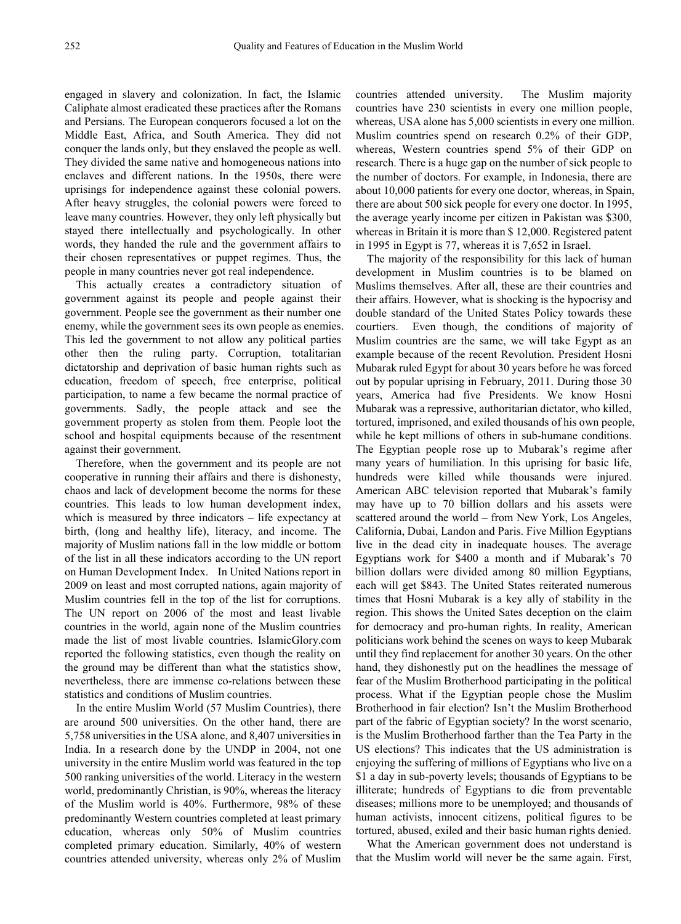engaged in slavery and colonization. In fact, the Islamic Caliphate almost eradicated these practices after the Romans and Persians. The European conquerors focused a lot on the Middle East, Africa, and South America. They did not conquer the lands only, but they enslaved the people as well. They divided the same native and homogeneous nations into enclaves and different nations. In the 1950s, there were uprisings for independence against these colonial powers. After heavy struggles, the colonial powers were forced to leave many countries. However, they only left physically but stayed there intellectually and psychologically. In other words, they handed the rule and the government affairs to their chosen representatives or puppet regimes. Thus, the people in many countries never got real independence.

This actually creates a contradictory situation of government against its people and people against their government. People see the government as their number one enemy, while the government sees its own people as enemies. This led the government to not allow any political parties other then the ruling party. Corruption, totalitarian dictatorship and deprivation of basic human rights such as education, freedom of speech, free enterprise, political participation, to name a few became the normal practice of governments. Sadly, the people attack and see the government property as stolen from them. People loot the school and hospital equipments because of the resentment against their government.

Therefore, when the government and its people are not cooperative in running their affairs and there is dishonesty, chaos and lack of development become the norms for these countries. This leads to low human development index, which is measured by three indicators – life expectancy at birth, (long and healthy life), literacy, and income. The majority of Muslim nations fall in the low middle or bottom of the list in all these indicators according to the UN report on Human Development Index. In United Nations report in 2009 on least and most corrupted nations, again majority of Muslim countries fell in the top of the list for corruptions. The UN report on 2006 of the most and least livable countries in the world, again none of the Muslim countries made the list of most livable countries. IslamicGlory.com reported the following statistics, even though the reality on the ground may be different than what the statistics show, nevertheless, there are immense co-relations between these statistics and conditions of Muslim countries.

In the entire Muslim World (57 Muslim Countries), there are around 500 universities. On the other hand, there are 5,758 universities in the USA alone, and 8,407 universities in India. In a research done by the UNDP in 2004, not one university in the entire Muslim world was featured in the top 500 ranking universities of the world. Literacy in the western world, predominantly Christian, is 90%, whereas the literacy of the Muslim world is 40%. Furthermore, 98% of these predominantly Western countries completed at least primary education, whereas only 50% of Muslim countries completed primary education. Similarly, 40% of western countries attended university, whereas only 2% of Muslim countries attended university. The Muslim majority countries have 230 scientists in every one million people, whereas, USA alone has  $5,000$  scientists in every one million. Muslim countries spend on research 0.2% of their GDP, whereas, Western countries spend 5% of their GDP on research. There is a huge gap on the number of sick people to the number of doctors. For example, in Indonesia, there are about 10,000 patients for every one doctor, whereas, in Spain, there are about 500 sick people for every one doctor. In 1995, the average yearly income per citizen in Pakistan was \$300, whereas in Britain it is more than \$ 12,000. Registered patent in 1995 in Egypt is 77, whereas it is 7,652 in Israel.

The majority of the responsibility for this lack of human development in Muslim countries is to be blamed on Muslims themselves. After all, these are their countries and their affairs. However, what is shocking is the hypocrisy and double standard of the United States Policy towards these courtiers. Even though, the conditions of majority of Muslim countries are the same, we will take Egypt as an example because of the recent Revolution. President Hosni Mubarak ruled Egypt for about 30 years before he was forced out by popular uprising in February, 2011. During those 30 years, America had five Presidents. We know Hosni Mubarak was a repressive, authoritarian dictator, who killed, tortured, imprisoned, and exiled thousands of his own people, while he kept millions of others in sub-humane conditions. The Egyptian people rose up to Mubarak's regime after many years of humiliation. In this uprising for basic life, hundreds were killed while thousands were injured. American ABC television reported that Mubarak's family may have up to 70 billion dollars and his assets were scattered around the world – from New York, Los Angeles, California, Dubai, Landon and Paris. Five Million Egyptians live in the dead city in inadequate houses. The average Egyptians work for \$400 a month and if Mubarak's 70 billion dollars were divided among 80 million Egyptians, each will get \$843. The United States reiterated numerous times that Hosni Mubarak is a key ally of stability in the region. This shows the United Sates deception on the claim for democracy and pro-human rights. In reality, American politicians work behind the scenes on ways to keep Mubarak until they find replacement for another 30 years. On the other hand, they dishonestly put on the headlines the message of fear of the Muslim Brotherhood participating in the political process. What if the Egyptian people chose the Muslim Brotherhood in fair election? Isn't the Muslim Brotherhood part of the fabric of Egyptian society? In the worst scenario, is the Muslim Brotherhood farther than the Tea Party in the US elections? This indicates that the US administration is enjoying the suffering of millions of Egyptians who live on a \$1 a day in sub-poverty levels; thousands of Egyptians to be illiterate; hundreds of Egyptians to die from preventable diseases; millions more to be unemployed; and thousands of human activists, innocent citizens, political figures to be tortured, abused, exiled and their basic human rights denied.

What the American government does not understand is that the Muslim world will never be the same again. First,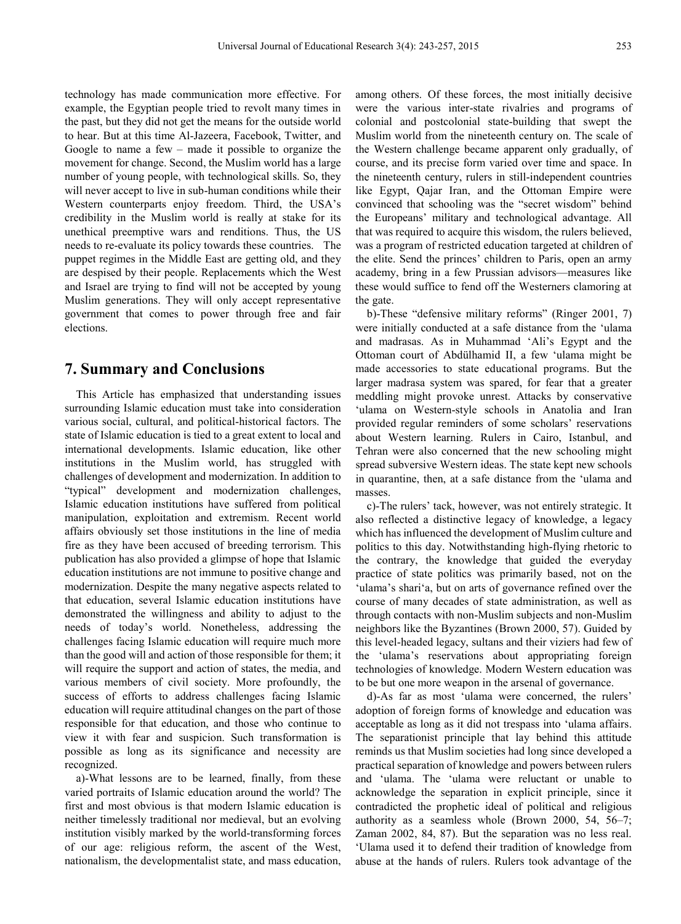technology has made communication more effective. For example, the Egyptian people tried to revolt many times in the past, but they did not get the means for the outside world to hear. But at this time Al-Jazeera, Facebook, Twitter, and Google to name a few – made it possible to organize the movement for change. Second, the Muslim world has a large number of young people, with technological skills. So, they will never accept to live in sub-human conditions while their Western counterparts enjoy freedom. Third, the USA's credibility in the Muslim world is really at stake for its unethical preemptive wars and renditions. Thus, the US needs to re-evaluate its policy towards these countries. The puppet regimes in the Middle East are getting old, and they are despised by their people. Replacements which the West and Israel are trying to find will not be accepted by young Muslim generations. They will only accept representative government that comes to power through free and fair elections.

### **7. Summary and Conclusions**

This Article has emphasized that understanding issues surrounding Islamic education must take into consideration various social, cultural, and political-historical factors. The state of Islamic education is tied to a great extent to local and international developments. Islamic education, like other institutions in the Muslim world, has struggled with challenges of development and modernization. In addition to "typical" development and modernization challenges, Islamic education institutions have suffered from political manipulation, exploitation and extremism. Recent world affairs obviously set those institutions in the line of media fire as they have been accused of breeding terrorism. This publication has also provided a glimpse of hope that Islamic education institutions are not immune to positive change and modernization. Despite the many negative aspects related to that education, several Islamic education institutions have demonstrated the willingness and ability to adjust to the needs of today's world. Nonetheless, addressing the challenges facing Islamic education will require much more than the good will and action of those responsible for them; it will require the support and action of states, the media, and various members of civil society. More profoundly, the success of efforts to address challenges facing Islamic education will require attitudinal changes on the part of those responsible for that education, and those who continue to view it with fear and suspicion. Such transformation is possible as long as its significance and necessity are recognized.

a)-What lessons are to be learned, finally, from these varied portraits of Islamic education around the world? The first and most obvious is that modern Islamic education is neither timelessly traditional nor medieval, but an evolving institution visibly marked by the world-transforming forces of our age: religious reform, the ascent of the West, nationalism, the developmentalist state, and mass education,

among others. Of these forces, the most initially decisive were the various inter-state rivalries and programs of colonial and postcolonial state-building that swept the Muslim world from the nineteenth century on. The scale of the Western challenge became apparent only gradually, of course, and its precise form varied over time and space. In the nineteenth century, rulers in still-independent countries like Egypt, Qajar Iran, and the Ottoman Empire were convinced that schooling was the "secret wisdom" behind the Europeans' military and technological advantage. All that was required to acquire this wisdom, the rulers believed, was a program of restricted education targeted at children of the elite. Send the princes' children to Paris, open an army academy, bring in a few Prussian advisors—measures like these would suffice to fend off the Westerners clamoring at the gate.

b)-These "defensive military reforms" (Ringer 2001, 7) were initially conducted at a safe distance from the 'ulama and madrasas. As in Muhammad 'Ali's Egypt and the Ottoman court of Abdülhamid II, a few 'ulama might be made accessories to state educational programs. But the larger madrasa system was spared, for fear that a greater meddling might provoke unrest. Attacks by conservative 'ulama on Western-style schools in Anatolia and Iran provided regular reminders of some scholars' reservations about Western learning. Rulers in Cairo, Istanbul, and Tehran were also concerned that the new schooling might spread subversive Western ideas. The state kept new schools in quarantine, then, at a safe distance from the 'ulama and masses.

c)-The rulers' tack, however, was not entirely strategic. It also reflected a distinctive legacy of knowledge, a legacy which has influenced the development of Muslim culture and politics to this day. Notwithstanding high-flying rhetoric to the contrary, the knowledge that guided the everyday practice of state politics was primarily based, not on the 'ulama's shari'a, but on arts of governance refined over the course of many decades of state administration, as well as through contacts with non-Muslim subjects and non-Muslim neighbors like the Byzantines (Brown 2000, 57). Guided by this level-headed legacy, sultans and their viziers had few of the 'ulama's reservations about appropriating foreign technologies of knowledge. Modern Western education was to be but one more weapon in the arsenal of governance.

d)-As far as most 'ulama were concerned, the rulers' adoption of foreign forms of knowledge and education was acceptable as long as it did not trespass into 'ulama affairs. The separationist principle that lay behind this attitude reminds us that Muslim societies had long since developed a practical separation of knowledge and powers between rulers and 'ulama. The 'ulama were reluctant or unable to acknowledge the separation in explicit principle, since it contradicted the prophetic ideal of political and religious authority as a seamless whole (Brown 2000, 54, 56–7; Zaman 2002, 84, 87). But the separation was no less real. 'Ulama used it to defend their tradition of knowledge from abuse at the hands of rulers. Rulers took advantage of the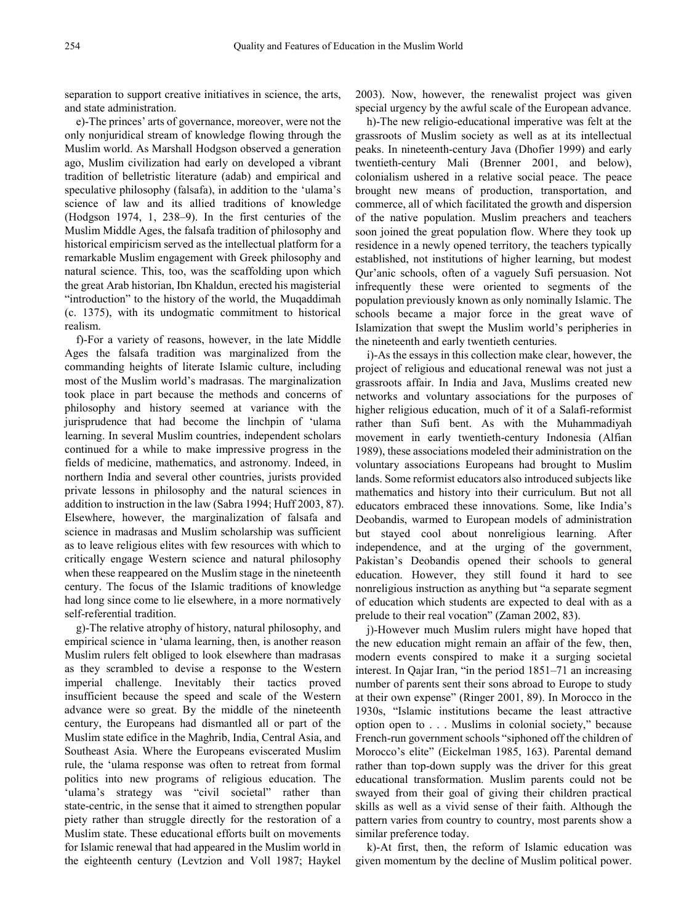separation to support creative initiatives in science, the arts, and state administration.

e)-The princes' arts of governance, moreover, were not the only nonjuridical stream of knowledge flowing through the Muslim world. As Marshall Hodgson observed a generation ago, Muslim civilization had early on developed a vibrant tradition of belletristic literature (adab) and empirical and speculative philosophy (falsafa), in addition to the 'ulama's science of law and its allied traditions of knowledge (Hodgson 1974, 1, 238–9). In the first centuries of the Muslim Middle Ages, the falsafa tradition of philosophy and historical empiricism served as the intellectual platform for a remarkable Muslim engagement with Greek philosophy and natural science. This, too, was the scaffolding upon which the great Arab historian, Ibn Khaldun, erected his magisterial "introduction" to the history of the world, the Muqaddimah (c. 1375), with its undogmatic commitment to historical realism.

f)-For a variety of reasons, however, in the late Middle Ages the falsafa tradition was marginalized from the commanding heights of literate Islamic culture, including most of the Muslim world's madrasas. The marginalization took place in part because the methods and concerns of philosophy and history seemed at variance with the jurisprudence that had become the linchpin of 'ulama learning. In several Muslim countries, independent scholars continued for a while to make impressive progress in the fields of medicine, mathematics, and astronomy. Indeed, in northern India and several other countries, jurists provided private lessons in philosophy and the natural sciences in addition to instruction in the law (Sabra 1994; Huff 2003, 87). Elsewhere, however, the marginalization of falsafa and science in madrasas and Muslim scholarship was sufficient as to leave religious elites with few resources with which to critically engage Western science and natural philosophy when these reappeared on the Muslim stage in the nineteenth century. The focus of the Islamic traditions of knowledge had long since come to lie elsewhere, in a more normatively self-referential tradition.

g)-The relative atrophy of history, natural philosophy, and empirical science in 'ulama learning, then, is another reason Muslim rulers felt obliged to look elsewhere than madrasas as they scrambled to devise a response to the Western imperial challenge. Inevitably their tactics proved insufficient because the speed and scale of the Western advance were so great. By the middle of the nineteenth century, the Europeans had dismantled all or part of the Muslim state edifice in the Maghrib, India, Central Asia, and Southeast Asia. Where the Europeans eviscerated Muslim rule, the 'ulama response was often to retreat from formal politics into new programs of religious education. The 'ulama's strategy was "civil societal" rather than state-centric, in the sense that it aimed to strengthen popular piety rather than struggle directly for the restoration of a Muslim state. These educational efforts built on movements for Islamic renewal that had appeared in the Muslim world in the eighteenth century (Levtzion and Voll 1987; Haykel 2003). Now, however, the renewalist project was given special urgency by the awful scale of the European advance.

h)-The new religio-educational imperative was felt at the grassroots of Muslim society as well as at its intellectual peaks. In nineteenth-century Java (Dhofier 1999) and early twentieth-century Mali (Brenner 2001, and below), colonialism ushered in a relative social peace. The peace brought new means of production, transportation, and commerce, all of which facilitated the growth and dispersion of the native population. Muslim preachers and teachers soon joined the great population flow. Where they took up residence in a newly opened territory, the teachers typically established, not institutions of higher learning, but modest Qur'anic schools, often of a vaguely Sufi persuasion. Not infrequently these were oriented to segments of the population previously known as only nominally Islamic. The schools became a major force in the great wave of Islamization that swept the Muslim world's peripheries in the nineteenth and early twentieth centuries.

i)-As the essays in this collection make clear, however, the project of religious and educational renewal was not just a grassroots affair. In India and Java, Muslims created new networks and voluntary associations for the purposes of higher religious education, much of it of a Salafi-reformist rather than Sufi bent. As with the Muhammadiyah movement in early twentieth-century Indonesia (Alfian 1989), these associations modeled their administration on the voluntary associations Europeans had brought to Muslim lands. Some reformist educators also introduced subjects like mathematics and history into their curriculum. But not all educators embraced these innovations. Some, like India's Deobandis, warmed to European models of administration but stayed cool about nonreligious learning. After independence, and at the urging of the government, Pakistan's Deobandis opened their schools to general education. However, they still found it hard to see nonreligious instruction as anything but "a separate segment of education which students are expected to deal with as a prelude to their real vocation" (Zaman 2002, 83).

j)-However much Muslim rulers might have hoped that the new education might remain an affair of the few, then, modern events conspired to make it a surging societal interest. In Qajar Iran, "in the period 1851–71 an increasing number of parents sent their sons abroad to Europe to study at their own expense" (Ringer 2001, 89). In Morocco in the 1930s, "Islamic institutions became the least attractive option open to . . . Muslims in colonial society," because French-run government schools "siphoned off the children of Morocco's elite" (Eickelman 1985, 163). Parental demand rather than top-down supply was the driver for this great educational transformation. Muslim parents could not be swayed from their goal of giving their children practical skills as well as a vivid sense of their faith. Although the pattern varies from country to country, most parents show a similar preference today.

k)-At first, then, the reform of Islamic education was given momentum by the decline of Muslim political power.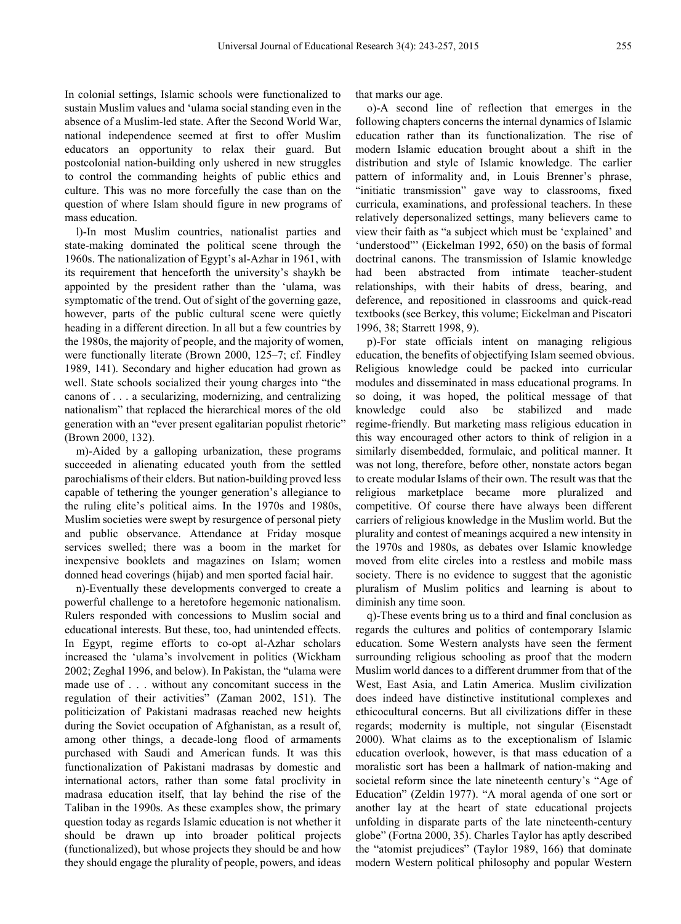In colonial settings, Islamic schools were functionalized to sustain Muslim values and 'ulama social standing even in the absence of a Muslim-led state. After the Second World War, national independence seemed at first to offer Muslim educators an opportunity to relax their guard. But postcolonial nation-building only ushered in new struggles to control the commanding heights of public ethics and culture. This was no more forcefully the case than on the question of where Islam should figure in new programs of mass education.

l)-In most Muslim countries, nationalist parties and state-making dominated the political scene through the 1960s. The nationalization of Egypt's al-Azhar in 1961, with its requirement that henceforth the university's shaykh be appointed by the president rather than the 'ulama, was symptomatic of the trend. Out of sight of the governing gaze, however, parts of the public cultural scene were quietly heading in a different direction. In all but a few countries by the 1980s, the majority of people, and the majority of women, were functionally literate (Brown 2000, 125–7; cf. Findley 1989, 141). Secondary and higher education had grown as well. State schools socialized their young charges into "the canons of . . . a secularizing, modernizing, and centralizing nationalism" that replaced the hierarchical mores of the old generation with an "ever present egalitarian populist rhetoric" (Brown 2000, 132).

m)-Aided by a galloping urbanization, these programs succeeded in alienating educated youth from the settled parochialisms of their elders. But nation-building proved less capable of tethering the younger generation's allegiance to the ruling elite's political aims. In the 1970s and 1980s, Muslim societies were swept by resurgence of personal piety and public observance. Attendance at Friday mosque services swelled; there was a boom in the market for inexpensive booklets and magazines on Islam; women donned head coverings (hijab) and men sported facial hair.

n)-Eventually these developments converged to create a powerful challenge to a heretofore hegemonic nationalism. Rulers responded with concessions to Muslim social and educational interests. But these, too, had unintended effects. In Egypt, regime efforts to co-opt al-Azhar scholars increased the 'ulama's involvement in politics (Wickham 2002; Zeghal 1996, and below). In Pakistan, the "ulama were made use of . . . without any concomitant success in the regulation of their activities" (Zaman 2002, 151). The politicization of Pakistani madrasas reached new heights during the Soviet occupation of Afghanistan, as a result of, among other things, a decade-long flood of armaments purchased with Saudi and American funds. It was this functionalization of Pakistani madrasas by domestic and international actors, rather than some fatal proclivity in madrasa education itself, that lay behind the rise of the Taliban in the 1990s. As these examples show, the primary question today as regards Islamic education is not whether it should be drawn up into broader political projects (functionalized), but whose projects they should be and how they should engage the plurality of people, powers, and ideas

that marks our age.

o)-A second line of reflection that emerges in the following chapters concerns the internal dynamics of Islamic education rather than its functionalization. The rise of modern Islamic education brought about a shift in the distribution and style of Islamic knowledge. The earlier pattern of informality and, in Louis Brenner's phrase, "initiatic transmission" gave way to classrooms, fixed curricula, examinations, and professional teachers. In these relatively depersonalized settings, many believers came to view their faith as "a subject which must be 'explained' and 'understood"' (Eickelman 1992, 650) on the basis of formal doctrinal canons. The transmission of Islamic knowledge had been abstracted from intimate teacher-student relationships, with their habits of dress, bearing, and deference, and repositioned in classrooms and quick-read textbooks (see Berkey, this volume; Eickelman and Piscatori 1996, 38; Starrett 1998, 9).

p)-For state officials intent on managing religious education, the benefits of objectifying Islam seemed obvious. Religious knowledge could be packed into curricular modules and disseminated in mass educational programs. In so doing, it was hoped, the political message of that knowledge could also be stabilized and made regime-friendly. But marketing mass religious education in this way encouraged other actors to think of religion in a similarly disembedded, formulaic, and political manner. It was not long, therefore, before other, nonstate actors began to create modular Islams of their own. The result was that the religious marketplace became more pluralized and competitive. Of course there have always been different carriers of religious knowledge in the Muslim world. But the plurality and contest of meanings acquired a new intensity in the 1970s and 1980s, as debates over Islamic knowledge moved from elite circles into a restless and mobile mass society. There is no evidence to suggest that the agonistic pluralism of Muslim politics and learning is about to diminish any time soon.

q)-These events bring us to a third and final conclusion as regards the cultures and politics of contemporary Islamic education. Some Western analysts have seen the ferment surrounding religious schooling as proof that the modern Muslim world dances to a different drummer from that of the West, East Asia, and Latin America. Muslim civilization does indeed have distinctive institutional complexes and ethicocultural concerns. But all civilizations differ in these regards; modernity is multiple, not singular (Eisenstadt 2000). What claims as to the exceptionalism of Islamic education overlook, however, is that mass education of a moralistic sort has been a hallmark of nation-making and societal reform since the late nineteenth century's "Age of Education" (Zeldin 1977). "A moral agenda of one sort or another lay at the heart of state educational projects unfolding in disparate parts of the late nineteenth-century globe" (Fortna 2000, 35). Charles Taylor has aptly described the "atomist prejudices" (Taylor 1989, 166) that dominate modern Western political philosophy and popular Western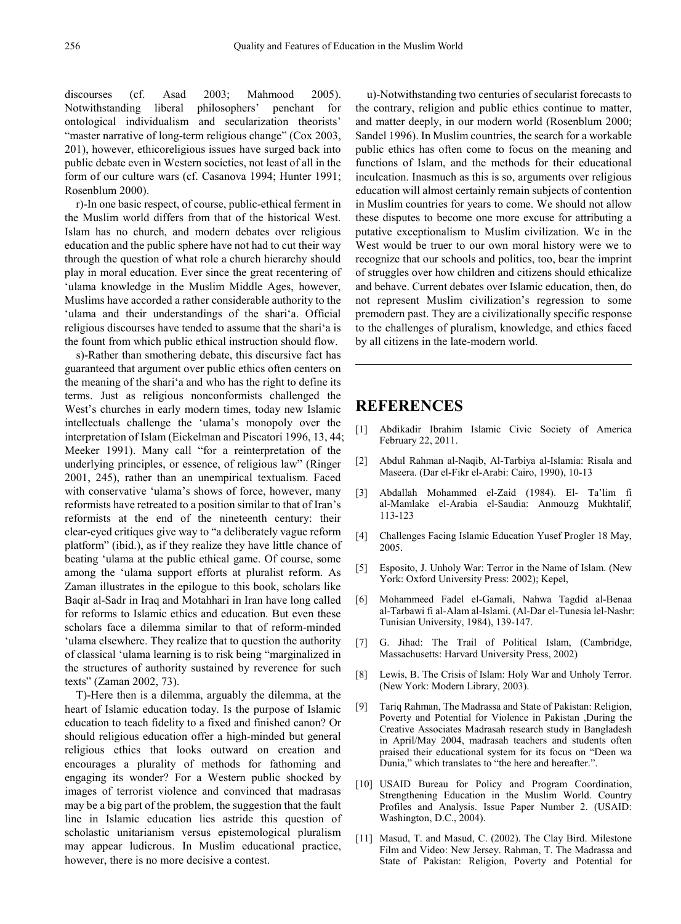discourses (cf. Asad 2003; Mahmood 2005). Notwithstanding liberal philosophers' penchant for ontological individualism and secularization theorists' "master narrative of long-term religious change" (Cox 2003, 201), however, ethicoreligious issues have surged back into public debate even in Western societies, not least of all in the form of our culture wars (cf. Casanova 1994; Hunter 1991; Rosenblum 2000).

r)-In one basic respect, of course, public-ethical ferment in the Muslim world differs from that of the historical West. Islam has no church, and modern debates over religious education and the public sphere have not had to cut their way through the question of what role a church hierarchy should play in moral education. Ever since the great recentering of 'ulama knowledge in the Muslim Middle Ages, however, Muslims have accorded a rather considerable authority to the 'ulama and their understandings of the shari'a. Official religious discourses have tended to assume that the shari'a is the fount from which public ethical instruction should flow.

s)-Rather than smothering debate, this discursive fact has guaranteed that argument over public ethics often centers on the meaning of the shari'a and who has the right to define its terms. Just as religious nonconformists challenged the West's churches in early modern times, today new Islamic intellectuals challenge the 'ulama's monopoly over the interpretation of Islam (Eickelman and Piscatori 1996, 13, 44; Meeker 1991). Many call "for a reinterpretation of the underlying principles, or essence, of religious law" (Ringer 2001, 245), rather than an unempirical textualism. Faced with conservative 'ulama's shows of force, however, many reformists have retreated to a position similar to that of Iran's reformists at the end of the nineteenth century: their clear-eyed critiques give way to "a deliberately vague reform platform" (ibid.), as if they realize they have little chance of beating 'ulama at the public ethical game. Of course, some among the 'ulama support efforts at pluralist reform. As Zaman illustrates in the epilogue to this book, scholars like Baqir al-Sadr in Iraq and Motahhari in Iran have long called for reforms to Islamic ethics and education. But even these scholars face a dilemma similar to that of reform-minded 'ulama elsewhere. They realize that to question the authority of classical 'ulama learning is to risk being "marginalized in the structures of authority sustained by reverence for such texts" (Zaman 2002, 73).

T)-Here then is a dilemma, arguably the dilemma, at the heart of Islamic education today. Is the purpose of Islamic education to teach fidelity to a fixed and finished canon? Or should religious education offer a high-minded but general religious ethics that looks outward on creation and encourages a plurality of methods for fathoming and engaging its wonder? For a Western public shocked by images of terrorist violence and convinced that madrasas may be a big part of the problem, the suggestion that the fault line in Islamic education lies astride this question of scholastic unitarianism versus epistemological pluralism may appear ludicrous. In Muslim educational practice, however, there is no more decisive a contest.

u)-Notwithstanding two centuries of secularist forecasts to the contrary, religion and public ethics continue to matter, and matter deeply, in our modern world (Rosenblum 2000; Sandel 1996). In Muslim countries, the search for a workable public ethics has often come to focus on the meaning and functions of Islam, and the methods for their educational inculcation. Inasmuch as this is so, arguments over religious education will almost certainly remain subjects of contention in Muslim countries for years to come. We should not allow these disputes to become one more excuse for attributing a putative exceptionalism to Muslim civilization. We in the West would be truer to our own moral history were we to recognize that our schools and politics, too, bear the imprint of struggles over how children and citizens should ethicalize and behave. Current debates over Islamic education, then, do not represent Muslim civilization's regression to some premodern past. They are a civilizationally specific response to the challenges of pluralism, knowledge, and ethics faced by all citizens in the late-modern world.

### **REFERENCES**

- [1] Abdikadir Ibrahim Islamic Civic Society of America February 22, 2011.
- [2] Abdul Rahman al-Naqib, Al-Tarbiya al-Islamia: Risala and Maseera. (Dar el-Fikr el-Arabi: Cairo, 1990), 10-13
- [3] Abdallah Mohammed el-Zaid (1984). El- Ta'lim fi al-Mamlake el-Arabia el-Saudia: Anmouzg Mukhtalif, 113-123
- [4] Challenges Facing Islamic Education Yusef Progler 18 May, 2005.
- [5] Esposito, J. Unholy War: Terror in the Name of Islam. (New York: Oxford University Press: 2002); Kepel,
- [6] Mohammeed Fadel el-Gamali, Nahwa Tagdid al-Benaa al-Tarbawi fi al-Alam al-Islami. (Al-Dar el-Tunesia lel-Nashr: Tunisian University, 1984), 139-147.
- [7] G. Jihad: The Trail of Political Islam, (Cambridge, Massachusetts: Harvard University Press, 2002)
- [8] Lewis, B. The Crisis of Islam: Holy War and Unholy Terror. (New York: Modern Library, 2003).
- [9] Tariq Rahman, The Madrassa and State of Pakistan: Religion, Poverty and Potential for Violence in Pakistan ,During the Creative Associates Madrasah research study in Bangladesh in April/May 2004, madrasah teachers and students often praised their educational system for its focus on "Deen wa Dunia," which translates to "the here and hereafter.".
- [10] USAID Bureau for Policy and Program Coordination, Strengthening Education in the Muslim World. Country Profiles and Analysis. Issue Paper Number 2. (USAID: Washington, D.C., 2004).
- [11] Masud, T. and Masud, C. (2002). The Clay Bird. Milestone Film and Video: New Jersey. Rahman, T. The Madrassa and State of Pakistan: Religion, Poverty and Potential for